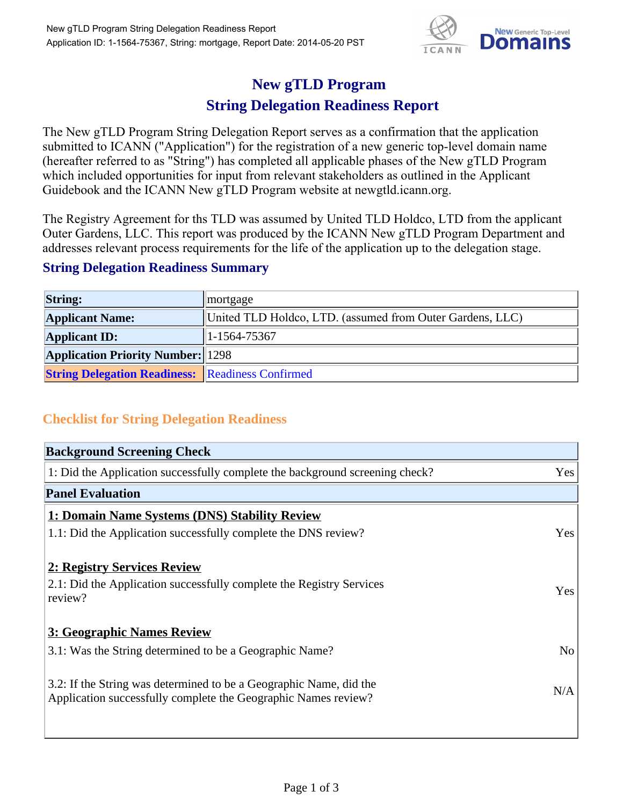

# **New gTLD Program**

## **String Delegation Readiness Report**

The New gTLD Program String Delegation Report serves as a confirmation that the application submitted to ICANN ("Application") for the registration of a new generic top-level domain name (hereafter referred to as "String") has completed all applicable phases of the New gTLD Program which included opportunities for input from relevant stakeholders as outlined in the Applicant Guidebook and the ICANN New gTLD Program website at newgtld.icann.org.

The Registry Agreement for ths TLD was assumed by United TLD Holdco, LTD from the applicant Outer Gardens, LLC. This report was produced by the ICANN New gTLD Program Department and addresses relevant process requirements for the life of the application up to the delegation stage.

#### **String Delegation Readiness Summary**

| <b>String:</b>                                          | mortgage                                                  |
|---------------------------------------------------------|-----------------------------------------------------------|
| <b>Applicant Name:</b>                                  | United TLD Holdco, LTD. (assumed from Outer Gardens, LLC) |
| <b>Applicant ID:</b>                                    | 1-1564-75367                                              |
| <b>Application Priority Number:</b> 1298                |                                                           |
| <b>String Delegation Readiness: Readiness Confirmed</b> |                                                           |

### **Checklist for String Delegation Readiness**

| <b>Background Screening Check</b>                                               |                |  |  |
|---------------------------------------------------------------------------------|----------------|--|--|
| 1: Did the Application successfully complete the background screening check?    | Yes            |  |  |
| <b>Panel Evaluation</b>                                                         |                |  |  |
| 1: Domain Name Systems (DNS) Stability Review                                   |                |  |  |
| 1.1: Did the Application successfully complete the DNS review?                  | Yes            |  |  |
| 2: Registry Services Review                                                     |                |  |  |
|                                                                                 |                |  |  |
| 2.1: Did the Application successfully complete the Registry Services<br>review? | <b>Yes</b>     |  |  |
|                                                                                 |                |  |  |
| 3: Geographic Names Review                                                      |                |  |  |
| 3.1: Was the String determined to be a Geographic Name?                         | N <sub>0</sub> |  |  |
| 3.2: If the String was determined to be a Geographic Name, did the              |                |  |  |
| Application successfully complete the Geographic Names review?                  | N/A            |  |  |
|                                                                                 |                |  |  |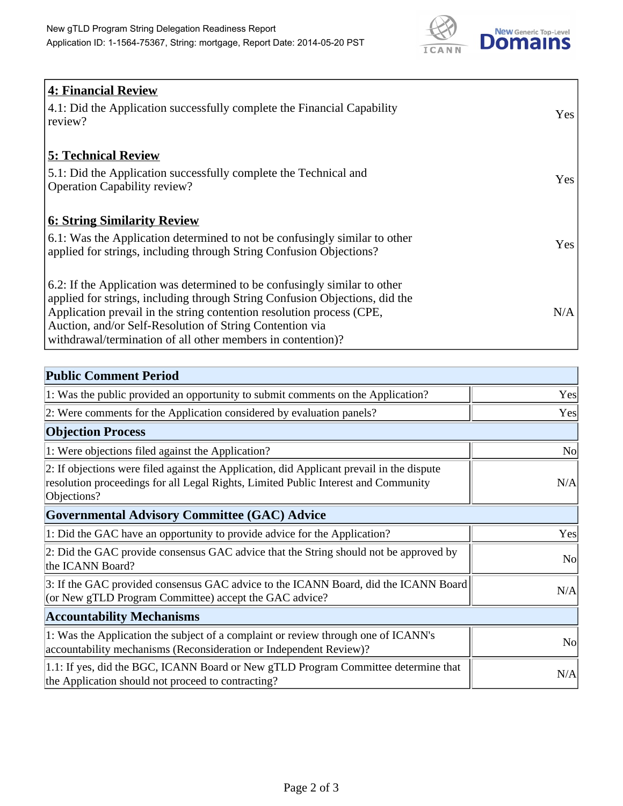

| <b>4: Financial Review</b><br>4.1: Did the Application successfully complete the Financial Capability<br>review?                                                                                                                                                                                                                                             | Yes |
|--------------------------------------------------------------------------------------------------------------------------------------------------------------------------------------------------------------------------------------------------------------------------------------------------------------------------------------------------------------|-----|
| <b>5: Technical Review</b><br>5.1: Did the Application successfully complete the Technical and<br><b>Operation Capability review?</b>                                                                                                                                                                                                                        | Yes |
| <u><b>6: String Similarity Review</b></u><br>6.1: Was the Application determined to not be confusingly similar to other<br>applied for strings, including through String Confusion Objections?                                                                                                                                                               | Yes |
| 6.2: If the Application was determined to be confusingly similar to other<br>applied for strings, including through String Confusion Objections, did the<br>Application prevail in the string contention resolution process (CPE,<br>Auction, and/or Self-Resolution of String Contention via<br>withdrawal/termination of all other members in contention)? | N/A |

| <b>Public Comment Period</b>                                                                                                                                                                   |           |
|------------------------------------------------------------------------------------------------------------------------------------------------------------------------------------------------|-----------|
| 1: Was the public provided an opportunity to submit comments on the Application?                                                                                                               | Yes       |
| 2: Were comments for the Application considered by evaluation panels?                                                                                                                          | Yes       |
| <b>Objection Process</b>                                                                                                                                                                       |           |
| 1: Were objections filed against the Application?                                                                                                                                              | <b>No</b> |
| 2: If objections were filed against the Application, did Applicant prevail in the dispute<br>resolution proceedings for all Legal Rights, Limited Public Interest and Community<br>Objections? | N/A       |
| Governmental Advisory Committee (GAC) Advice                                                                                                                                                   |           |
| 1: Did the GAC have an opportunity to provide advice for the Application?                                                                                                                      | Yes       |
| 2: Did the GAC provide consensus GAC advice that the String should not be approved by<br>the ICANN Board?                                                                                      | <b>No</b> |
| 3: If the GAC provided consensus GAC advice to the ICANN Board, did the ICANN Board<br>(or New gTLD Program Committee) accept the GAC advice?                                                  | N/A       |
| <b>Accountability Mechanisms</b>                                                                                                                                                               |           |
| 1: Was the Application the subject of a complaint or review through one of ICANN's<br>accountability mechanisms (Reconsideration or Independent Review)?                                       | <b>No</b> |
| 1.1: If yes, did the BGC, ICANN Board or New gTLD Program Committee determine that<br>the Application should not proceed to contracting?                                                       | N/A       |